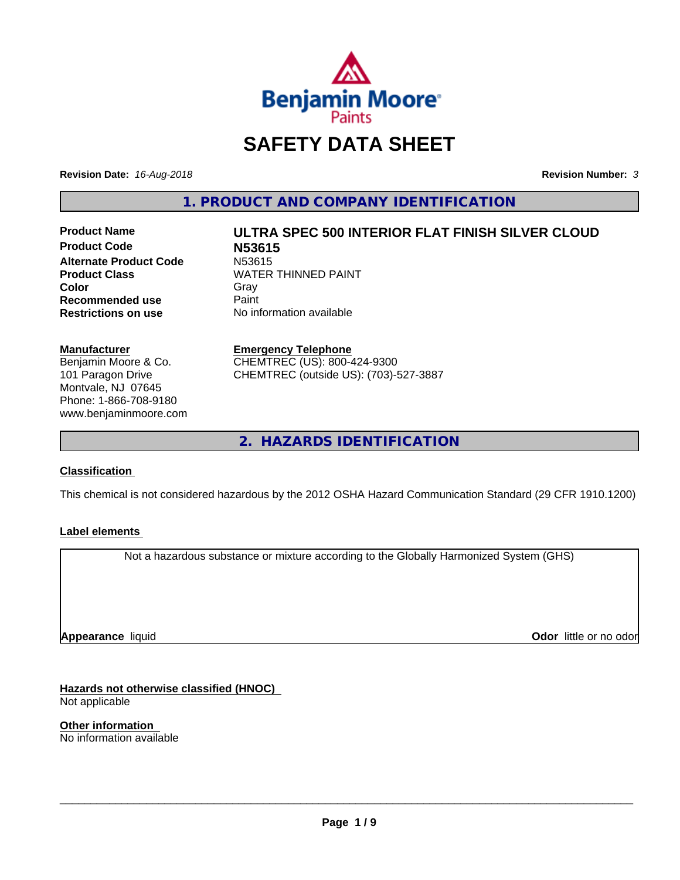

## **SAFETY DATA SHEET**

**Revision Date:** *16-Aug-2018* **Revision Number:** *3*

**1. PRODUCT AND COMPANY IDENTIFICATION**

**Product Code N53615 Alternate Product Code** N53615<br> **Product Class** WATER **Color** Gray Gray **Recommended use** Paint<br> **Restrictions on use** No inf

# **Product Name ULTRA SPEC 500 INTERIOR FLAT FINISH SILVER CLOUD WATER THINNED PAINT**

**No information available** 

#### **Manufacturer**

Benjamin Moore & Co. 101 Paragon Drive Montvale, NJ 07645 Phone: 1-866-708-9180 www.benjaminmoore.com

## **Emergency Telephone**

CHEMTREC (US): 800-424-9300 CHEMTREC (outside US): (703)-527-3887

**2. HAZARDS IDENTIFICATION**

#### **Classification**

This chemical is not considered hazardous by the 2012 OSHA Hazard Communication Standard (29 CFR 1910.1200)

#### **Label elements**

Not a hazardous substance or mixture according to the Globally Harmonized System (GHS)

**Appearance** liquid

**Odor** little or no odor

**Hazards not otherwise classified (HNOC)** Not applicable

**Other information** No information available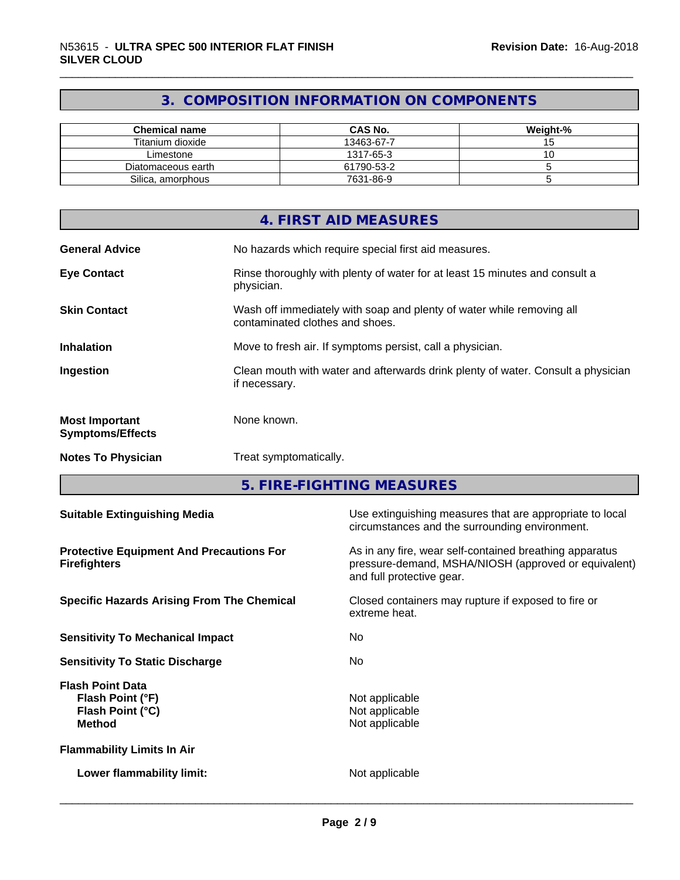## **3. COMPOSITION INFORMATION ON COMPONENTS**

| <b>Chemical name</b> | <b>CAS No.</b> | Weight-% |
|----------------------|----------------|----------|
| Titanium dioxide     | 13463-67-7     |          |
| Limestone            | 1317-65-3      |          |
| Diatomaceous earth   | 61790-53-2     |          |
| Silica, amorphous    | 7631-86-9      |          |

|                                                  | 4. FIRST AID MEASURES                                                                                    |
|--------------------------------------------------|----------------------------------------------------------------------------------------------------------|
| <b>General Advice</b>                            | No hazards which require special first aid measures.                                                     |
| <b>Eye Contact</b>                               | Rinse thoroughly with plenty of water for at least 15 minutes and consult a<br>physician.                |
| <b>Skin Contact</b>                              | Wash off immediately with soap and plenty of water while removing all<br>contaminated clothes and shoes. |
| <b>Inhalation</b>                                | Move to fresh air. If symptoms persist, call a physician.                                                |
| Ingestion                                        | Clean mouth with water and afterwards drink plenty of water. Consult a physician<br>if necessary.        |
| <b>Most Important</b><br><b>Symptoms/Effects</b> | None known.                                                                                              |
| <b>Notes To Physician</b>                        | Treat symptomatically.                                                                                   |

**5. FIRE-FIGHTING MEASURES**

| <b>Suitable Extinguishing Media</b>                                              | Use extinguishing measures that are appropriate to local<br>circumstances and the surrounding environment.                                   |
|----------------------------------------------------------------------------------|----------------------------------------------------------------------------------------------------------------------------------------------|
| <b>Protective Equipment And Precautions For</b><br><b>Firefighters</b>           | As in any fire, wear self-contained breathing apparatus<br>pressure-demand, MSHA/NIOSH (approved or equivalent)<br>and full protective gear. |
| <b>Specific Hazards Arising From The Chemical</b>                                | Closed containers may rupture if exposed to fire or<br>extreme heat.                                                                         |
| <b>Sensitivity To Mechanical Impact</b>                                          | No.                                                                                                                                          |
| <b>Sensitivity To Static Discharge</b>                                           | No.                                                                                                                                          |
| <b>Flash Point Data</b><br>Flash Point (°F)<br>Flash Point (°C)<br><b>Method</b> | Not applicable<br>Not applicable<br>Not applicable                                                                                           |
| <b>Flammability Limits In Air</b>                                                |                                                                                                                                              |
| Lower flammability limit:                                                        | Not applicable                                                                                                                               |
|                                                                                  |                                                                                                                                              |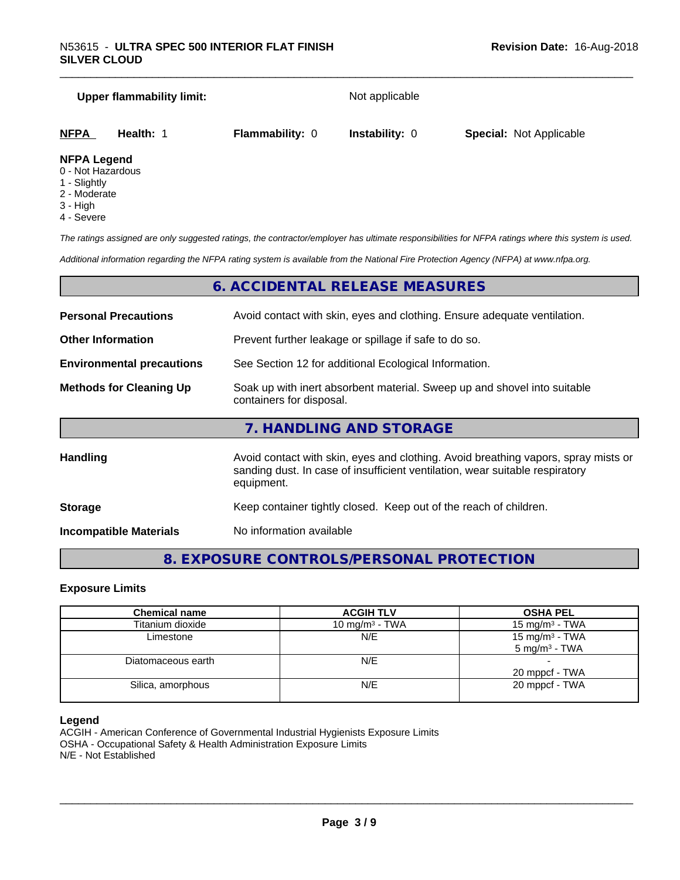# **Upper flammability limit:** Not applicable **NFPA Health:** 1 **Flammability:** 0 **Instability:** 0 **Special:** Not Applicable

#### **NFPA Legend**

- 0 Not Hazardous
- 1 Slightly
- 2 Moderate
- 3 High
- 4 Severe

*The ratings assigned are only suggested ratings, the contractor/employer has ultimate responsibilities for NFPA ratings where this system is used.*

*Additional information regarding the NFPA rating system is available from the National Fire Protection Agency (NFPA) at www.nfpa.org.*

## **6. ACCIDENTAL RELEASE MEASURES**

| <b>Personal Precautions</b>      | Avoid contact with skin, eyes and clothing. Ensure adequate ventilation.                                                                                                         |
|----------------------------------|----------------------------------------------------------------------------------------------------------------------------------------------------------------------------------|
| <b>Other Information</b>         | Prevent further leakage or spillage if safe to do so.                                                                                                                            |
| <b>Environmental precautions</b> | See Section 12 for additional Ecological Information.                                                                                                                            |
| <b>Methods for Cleaning Up</b>   | Soak up with inert absorbent material. Sweep up and shovel into suitable<br>containers for disposal.                                                                             |
|                                  | 7. HANDLING AND STORAGE                                                                                                                                                          |
| Handling                         | Avoid contact with skin, eyes and clothing. Avoid breathing vapors, spray mists or<br>sanding dust. In case of insufficient ventilation, wear suitable respiratory<br>equipment. |
| <b>Storage</b>                   | Keep container tightly closed. Keep out of the reach of children.                                                                                                                |
|                                  |                                                                                                                                                                                  |

**Incompatible Materials** No information available

## **8. EXPOSURE CONTROLS/PERSONAL PROTECTION**

#### **Exposure Limits**

| <b>Chemical name</b> | <b>ACGIH TLV</b>  | <b>OSHA PEL</b>            |
|----------------------|-------------------|----------------------------|
| Titanium dioxide     | 10 mg/m $3$ - TWA | 15 mg/m <sup>3</sup> - TWA |
| Limestone            | N/E               | 15 mg/m $3$ - TWA          |
|                      |                   | $5 \text{ mg/m}^3$ - TWA   |
| Diatomaceous earth   | N/E               |                            |
|                      |                   | 20 mppcf - TWA             |
| Silica, amorphous    | N/E               | 20 mppcf - TWA             |
|                      |                   |                            |

#### **Legend**

ACGIH - American Conference of Governmental Industrial Hygienists Exposure Limits OSHA - Occupational Safety & Health Administration Exposure Limits N/E - Not Established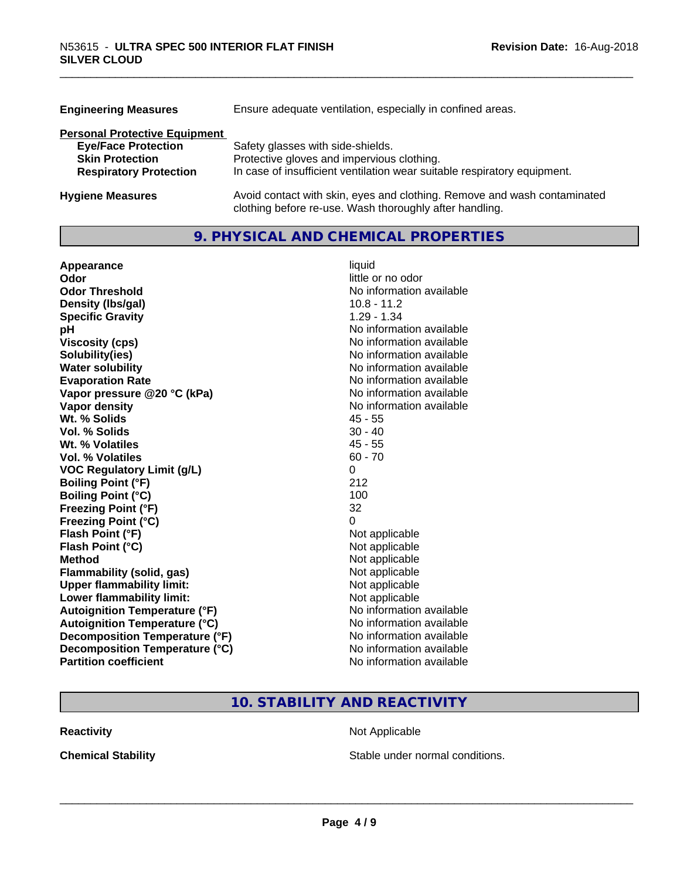| <b>Engineering Measures</b>          | Ensure adequate ventilation, especially in confined areas.                                                                          |  |  |
|--------------------------------------|-------------------------------------------------------------------------------------------------------------------------------------|--|--|
| <b>Personal Protective Equipment</b> |                                                                                                                                     |  |  |
| <b>Eye/Face Protection</b>           | Safety glasses with side-shields.                                                                                                   |  |  |
| <b>Skin Protection</b>               | Protective gloves and impervious clothing.                                                                                          |  |  |
| <b>Respiratory Protection</b>        | In case of insufficient ventilation wear suitable respiratory equipment.                                                            |  |  |
| <b>Hygiene Measures</b>              | Avoid contact with skin, eyes and clothing. Remove and wash contaminated<br>clothing before re-use. Wash thoroughly after handling. |  |  |

## **9. PHYSICAL AND CHEMICAL PROPERTIES**

| Appearance                           | liquid                   |
|--------------------------------------|--------------------------|
| Odor                                 | little or no odor        |
| <b>Odor Threshold</b>                | No information available |
| Density (Ibs/gal)                    | $10.8 - 11.2$            |
| <b>Specific Gravity</b>              | $1.29 - 1.34$            |
| рH                                   | No information available |
| <b>Viscosity (cps)</b>               | No information available |
| Solubility(ies)                      | No information available |
| <b>Water solubility</b>              | No information available |
| <b>Evaporation Rate</b>              | No information available |
| Vapor pressure @20 °C (kPa)          | No information available |
| Vapor density                        | No information available |
| Wt. % Solids                         | $45 - 55$                |
| Vol. % Solids                        | $30 - 40$                |
| Wt. % Volatiles                      | $45 - 55$                |
| <b>Vol. % Volatiles</b>              | $60 - 70$                |
| <b>VOC Regulatory Limit (g/L)</b>    | 0                        |
| <b>Boiling Point (°F)</b>            | 212                      |
| <b>Boiling Point (°C)</b>            | 100                      |
| <b>Freezing Point (°F)</b>           | 32                       |
| <b>Freezing Point (°C)</b>           | 0                        |
| Flash Point (°F)                     | Not applicable           |
| Flash Point (°C)                     | Not applicable           |
| <b>Method</b>                        | Not applicable           |
| Flammability (solid, gas)            | Not applicable           |
| <b>Upper flammability limit:</b>     | Not applicable           |
| Lower flammability limit:            | Not applicable           |
| <b>Autoignition Temperature (°F)</b> | No information available |
| <b>Autoignition Temperature (°C)</b> | No information available |
| Decomposition Temperature (°F)       | No information available |
| Decomposition Temperature (°C)       | No information available |
| <b>Partition coefficient</b>         | No information available |

## **10. STABILITY AND REACTIVITY**

**Reactivity Not Applicable Not Applicable** 

**Chemical Stability Chemical Stability** Stable under normal conditions.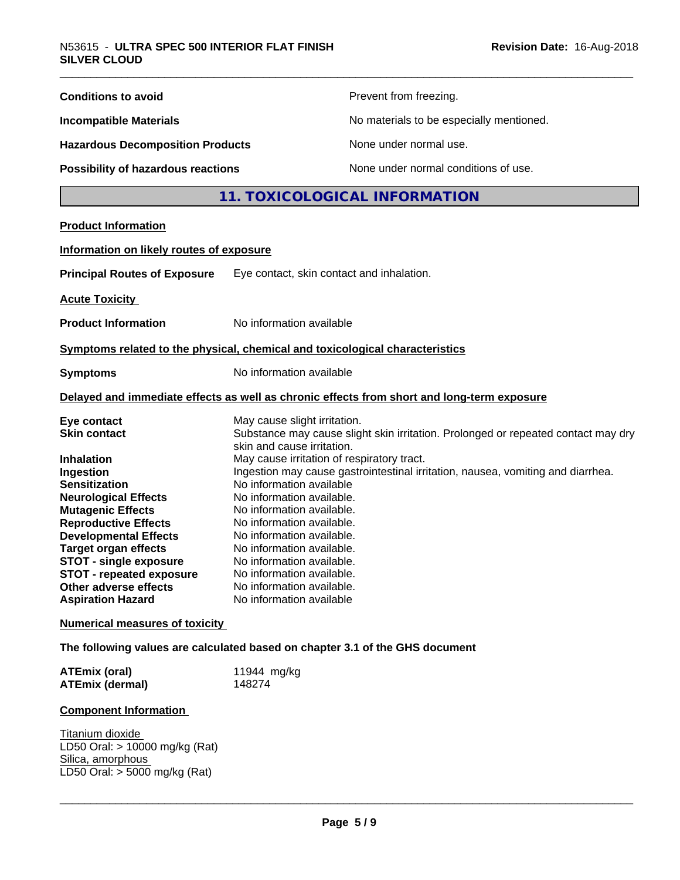| <b>Conditions to avoid</b>                                                                                                                                                                                                                                                                                         |                                                                                                                                                                                                                                                                                                                                                                              | Prevent from freezing.                                                                                                                                               |
|--------------------------------------------------------------------------------------------------------------------------------------------------------------------------------------------------------------------------------------------------------------------------------------------------------------------|------------------------------------------------------------------------------------------------------------------------------------------------------------------------------------------------------------------------------------------------------------------------------------------------------------------------------------------------------------------------------|----------------------------------------------------------------------------------------------------------------------------------------------------------------------|
| <b>Incompatible Materials</b>                                                                                                                                                                                                                                                                                      |                                                                                                                                                                                                                                                                                                                                                                              | No materials to be especially mentioned.                                                                                                                             |
| <b>Hazardous Decomposition Products</b>                                                                                                                                                                                                                                                                            |                                                                                                                                                                                                                                                                                                                                                                              | None under normal use.                                                                                                                                               |
| <b>Possibility of hazardous reactions</b>                                                                                                                                                                                                                                                                          |                                                                                                                                                                                                                                                                                                                                                                              | None under normal conditions of use.                                                                                                                                 |
|                                                                                                                                                                                                                                                                                                                    |                                                                                                                                                                                                                                                                                                                                                                              | 11. TOXICOLOGICAL INFORMATION                                                                                                                                        |
| <b>Product Information</b>                                                                                                                                                                                                                                                                                         |                                                                                                                                                                                                                                                                                                                                                                              |                                                                                                                                                                      |
| Information on likely routes of exposure                                                                                                                                                                                                                                                                           |                                                                                                                                                                                                                                                                                                                                                                              |                                                                                                                                                                      |
| <b>Principal Routes of Exposure</b>                                                                                                                                                                                                                                                                                | Eye contact, skin contact and inhalation.                                                                                                                                                                                                                                                                                                                                    |                                                                                                                                                                      |
| <b>Acute Toxicity</b>                                                                                                                                                                                                                                                                                              |                                                                                                                                                                                                                                                                                                                                                                              |                                                                                                                                                                      |
| <b>Product Information</b>                                                                                                                                                                                                                                                                                         | No information available                                                                                                                                                                                                                                                                                                                                                     |                                                                                                                                                                      |
| Symptoms related to the physical, chemical and toxicological characteristics                                                                                                                                                                                                                                       |                                                                                                                                                                                                                                                                                                                                                                              |                                                                                                                                                                      |
| <b>Symptoms</b>                                                                                                                                                                                                                                                                                                    | No information available                                                                                                                                                                                                                                                                                                                                                     |                                                                                                                                                                      |
|                                                                                                                                                                                                                                                                                                                    |                                                                                                                                                                                                                                                                                                                                                                              | Delayed and immediate effects as well as chronic effects from short and long-term exposure                                                                           |
| Eye contact<br><b>Skin contact</b><br><b>Inhalation</b><br>Ingestion<br><b>Sensitization</b><br><b>Neurological Effects</b><br><b>Mutagenic Effects</b><br><b>Reproductive Effects</b><br><b>Developmental Effects</b><br><b>Target organ effects</b><br>STOT - single exposure<br><b>STOT - repeated exposure</b> | May cause slight irritation.<br>skin and cause irritation.<br>May cause irritation of respiratory tract.<br>No information available<br>No information available.<br>No information available.<br>No information available.<br>No information available.<br>No information available.<br>No information available.<br>No information available.<br>No information available. | Substance may cause slight skin irritation. Prolonged or repeated contact may dry<br>Ingestion may cause gastrointestinal irritation, nausea, vomiting and diarrhea. |
| Other adverse effects<br><b>Aspiration Hazard</b>                                                                                                                                                                                                                                                                  | No information available                                                                                                                                                                                                                                                                                                                                                     |                                                                                                                                                                      |
| <b>Numerical measures of toxicity</b>                                                                                                                                                                                                                                                                              |                                                                                                                                                                                                                                                                                                                                                                              |                                                                                                                                                                      |
| The following values are calculated based on chapter 3.1 of the GHS document                                                                                                                                                                                                                                       |                                                                                                                                                                                                                                                                                                                                                                              |                                                                                                                                                                      |
| <b>ATEmix (oral)</b><br><b>ATEmix (dermal)</b>                                                                                                                                                                                                                                                                     | 11944 mg/kg<br>148274                                                                                                                                                                                                                                                                                                                                                        |                                                                                                                                                                      |
| <b>Component Information</b>                                                                                                                                                                                                                                                                                       |                                                                                                                                                                                                                                                                                                                                                                              |                                                                                                                                                                      |
| Titanium dioxide<br>LD50 Oral: > 10000 mg/kg (Rat)<br>Silica, amorphous<br>LD50 Oral: > 5000 mg/kg (Rat)                                                                                                                                                                                                           |                                                                                                                                                                                                                                                                                                                                                                              |                                                                                                                                                                      |
|                                                                                                                                                                                                                                                                                                                    |                                                                                                                                                                                                                                                                                                                                                                              |                                                                                                                                                                      |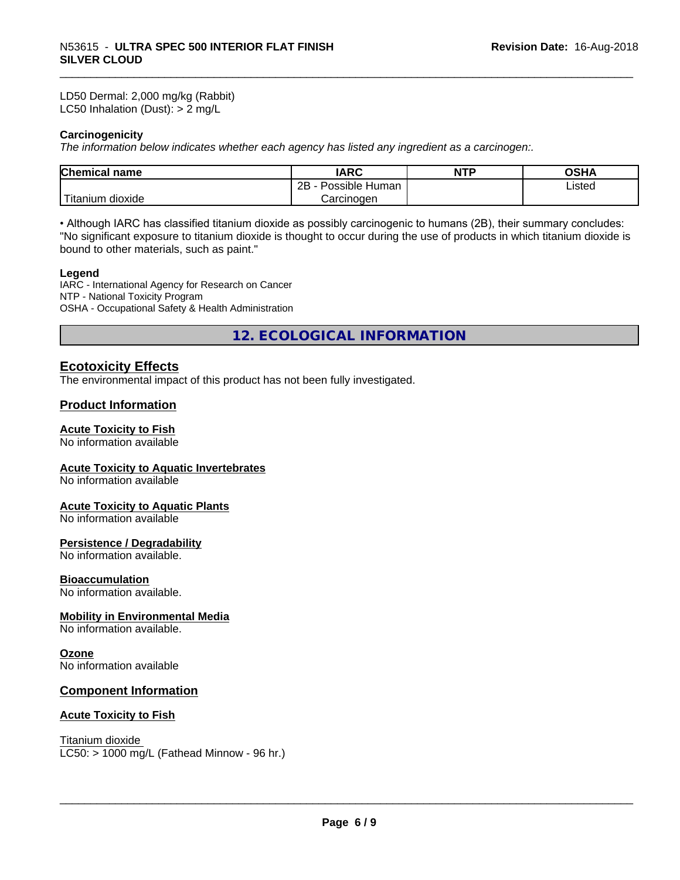LD50 Dermal: 2,000 mg/kg (Rabbit) LC50 Inhalation (Dust): > 2 mg/L

#### **Carcinogenicity**

*The information below indicateswhether each agency has listed any ingredient as a carcinogen:.*

| <b>Chemical</b><br>name          | <b>IARC</b>                    | NTP | ດຂ⊔ ∧<br>JJNA |  |
|----------------------------------|--------------------------------|-----|---------------|--|
|                                  | .<br>2B<br>Possible<br>: Human |     | ∟isted        |  |
| .<br>. dioxide<br><b>itanium</b> | Carcinogen                     |     |               |  |

• Although IARC has classified titanium dioxide as possibly carcinogenic to humans (2B), their summary concludes: "No significant exposure to titanium dioxide is thought to occur during the use of products in which titanium dioxide is bound to other materials, such as paint."

#### **Legend**

IARC - International Agency for Research on Cancer NTP - National Toxicity Program OSHA - Occupational Safety & Health Administration

**12. ECOLOGICAL INFORMATION**

## **Ecotoxicity Effects**

The environmental impact of this product has not been fully investigated.

#### **Product Information**

#### **Acute Toxicity to Fish**

No information available

#### **Acute Toxicity to Aquatic Invertebrates**

No information available

#### **Acute Toxicity to Aquatic Plants**

No information available

#### **Persistence / Degradability**

No information available.

#### **Bioaccumulation**

No information available.

#### **Mobility in Environmental Media**

No information available.

#### **Ozone**

No information available

#### **Component Information**

#### **Acute Toxicity to Fish**

Titanium dioxide

 $LC50:$  > 1000 mg/L (Fathead Minnow - 96 hr.)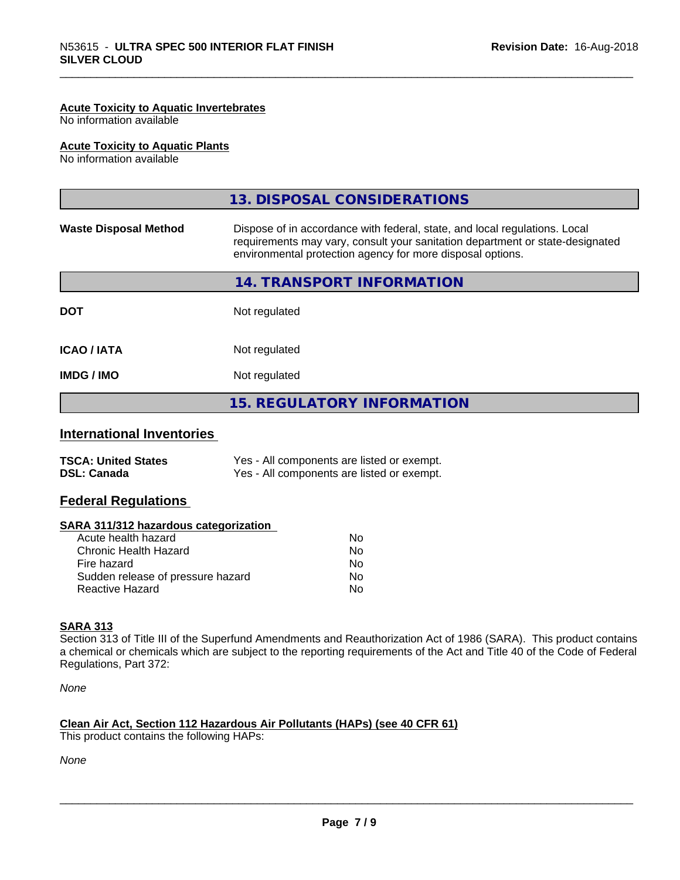#### **Acute Toxicity to Aquatic Invertebrates**

No information available

#### **Acute Toxicity to Aquatic Plants**

No information available

|                              | 13. DISPOSAL CONSIDERATIONS                                                                                                                                                                                               |
|------------------------------|---------------------------------------------------------------------------------------------------------------------------------------------------------------------------------------------------------------------------|
| <b>Waste Disposal Method</b> | Dispose of in accordance with federal, state, and local regulations. Local<br>requirements may vary, consult your sanitation department or state-designated<br>environmental protection agency for more disposal options. |
|                              | 14. TRANSPORT INFORMATION                                                                                                                                                                                                 |
| <b>DOT</b>                   | Not regulated                                                                                                                                                                                                             |
| <b>ICAO / IATA</b>           | Not regulated                                                                                                                                                                                                             |
| <b>IMDG/IMO</b>              | Not regulated                                                                                                                                                                                                             |
|                              | <b>15. REGULATORY INFORMATION</b>                                                                                                                                                                                         |
|                              |                                                                                                                                                                                                                           |

## **International Inventories**

| <b>TSCA: United States</b> | Yes - All components are listed or exempt. |
|----------------------------|--------------------------------------------|
| <b>DSL: Canada</b>         | Yes - All components are listed or exempt. |

## **Federal Regulations**

| SARA 311/312 hazardous categorization |  |
|---------------------------------------|--|
|---------------------------------------|--|

| Acute health hazard               | No |
|-----------------------------------|----|
| Chronic Health Hazard             | Nο |
| Fire hazard                       | N٥ |
| Sudden release of pressure hazard | Nο |
| Reactive Hazard                   | N٥ |

#### **SARA 313**

Section 313 of Title III of the Superfund Amendments and Reauthorization Act of 1986 (SARA). This product contains a chemical or chemicals which are subject to the reporting requirements of the Act and Title 40 of the Code of Federal Regulations, Part 372:

*None*

## **Clean Air Act,Section 112 Hazardous Air Pollutants (HAPs) (see 40 CFR 61)**

This product contains the following HAPs:

*None*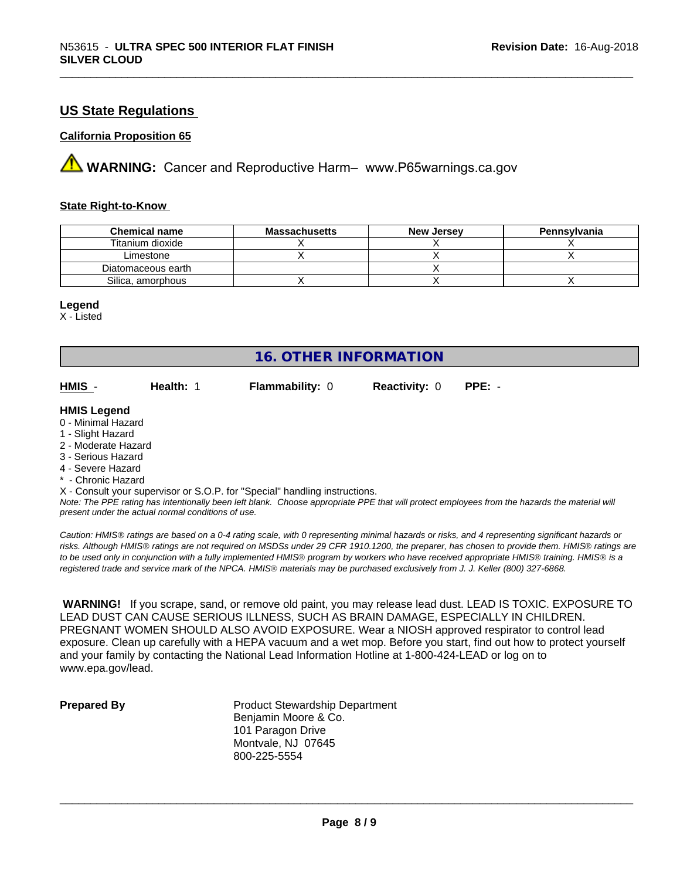## **US State Regulations**

#### **California Proposition 65**

**A** WARNING: Cancer and Reproductive Harm– www.P65warnings.ca.gov

#### **State Right-to-Know**

| <b>Chemical name</b> | <b>Massachusetts</b> | <b>New Jersey</b> | Pennsylvania |
|----------------------|----------------------|-------------------|--------------|
| Titanium dioxide     |                      |                   |              |
| ∟imestone            |                      |                   |              |
| Diatomaceous earth   |                      |                   |              |
| Silica, amorphous    |                      |                   |              |

#### **Legend**

X - Listed

## **16. OTHER INFORMATION**

**HMIS** - **Health:** 1 **Flammability:** 0 **Reactivity:** 0 **PPE:** -

#### **HMIS Legend**

- 0 Minimal Hazard
- 1 Slight Hazard
- 2 Moderate Hazard
- 3 Serious Hazard
- 4 Severe Hazard
- \* Chronic Hazard

X - Consult your supervisor or S.O.P. for "Special" handling instructions.

*Note: The PPE rating has intentionally been left blank. Choose appropriate PPE that will protect employees from the hazards the material will present under the actual normal conditions of use.*

*Caution: HMISÒ ratings are based on a 0-4 rating scale, with 0 representing minimal hazards or risks, and 4 representing significant hazards or risks. Although HMISÒ ratings are not required on MSDSs under 29 CFR 1910.1200, the preparer, has chosen to provide them. HMISÒ ratings are to be used only in conjunction with a fully implemented HMISÒ program by workers who have received appropriate HMISÒ training. HMISÒ is a registered trade and service mark of the NPCA. HMISÒ materials may be purchased exclusively from J. J. Keller (800) 327-6868.*

 **WARNING!** If you scrape, sand, or remove old paint, you may release lead dust. LEAD IS TOXIC. EXPOSURE TO LEAD DUST CAN CAUSE SERIOUS ILLNESS, SUCH AS BRAIN DAMAGE, ESPECIALLY IN CHILDREN. PREGNANT WOMEN SHOULD ALSO AVOID EXPOSURE.Wear a NIOSH approved respirator to control lead exposure. Clean up carefully with a HEPA vacuum and a wet mop. Before you start, find out how to protect yourself and your family by contacting the National Lead Information Hotline at 1-800-424-LEAD or log on to www.epa.gov/lead.

**Prepared By** Product Stewardship Department Benjamin Moore & Co. 101 Paragon Drive Montvale, NJ 07645 800-225-5554